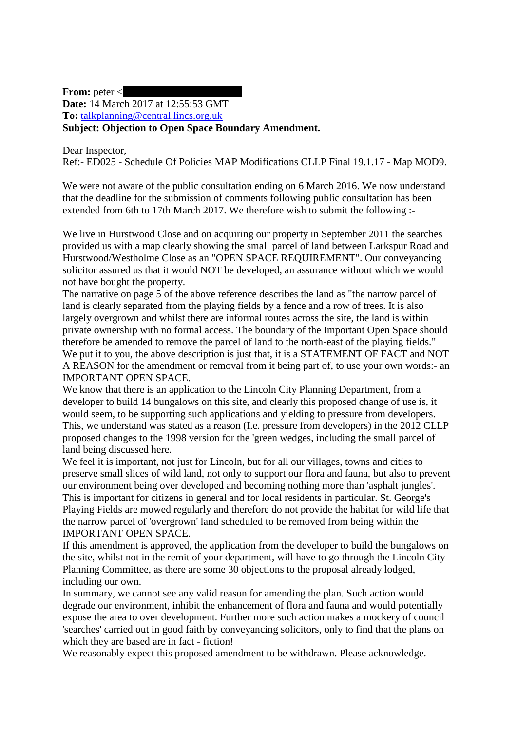**From:** peter [<](mailto:pete.m0ejl@btinternet.com) **Date:** 14 March 2017 at 12:55:53 GMT **To:** [talkplanning@central.lincs.org.uk](mailto:talkplanning@central.lincs.org.uk) **Subject: Objection to Open Space Boundary Amendment.**

Dear Inspector,

Ref:- ED025 - Schedule Of Policies MAP Modifications CLLP Final 19.1.17 - Map MOD9.

We were not aware of the public consultation ending on 6 March 2016. We now understand that the deadline for the submission of comments following public consultation has been extended from 6th to 17th March 2017. We therefore wish to submit the following :-

We live in Hurstwood Close and on acquiring our property in September 2011 the searches provided us with a map clearly showing the small parcel of land between Larkspur Road and Hurstwood/Westholme Close as an "OPEN SPACE REQUIREMENT". Our conveyancing solicitor assured us that it would NOT be developed, an assurance without which we would not have bought the property.

The narrative on page 5 of the above reference describes the land as "the narrow parcel of land is clearly separated from the playing fields by a fence and a row of trees. It is also largely overgrown and whilst there are informal routes across the site, the land is within private ownership with no formal access. The boundary of the Important Open Space should therefore be amended to remove the parcel of land to the north-east of the playing fields." We put it to you, the above description is just that, it is a STATEMENT OF FACT and NOT A REASON for the amendment or removal from it being part of, to use your own words:- an IMPORTANT OPEN SPACE.

We know that there is an application to the Lincoln City Planning Department, from a developer to build 14 bungalows on this site, and clearly this proposed change of use is, it would seem, to be supporting such applications and yielding to pressure from developers. This, we understand was stated as a reason (I.e. pressure from developers) in the 2012 CLLP proposed changes to the 1998 version for the 'green wedges, including the small parcel of land being discussed here.

We feel it is important, not just for Lincoln, but for all our villages, towns and cities to preserve small slices of wild land, not only to support our flora and fauna, but also to prevent our environment being over developed and becoming nothing more than 'asphalt jungles'. This is important for citizens in general and for local residents in particular. St. George's Playing Fields are mowed regularly and therefore do not provide the habitat for wild life that the narrow parcel of 'overgrown' land scheduled to be removed from being within the IMPORTANT OPEN SPACE.

If this amendment is approved, the application from the developer to build the bungalows on the site, whilst not in the remit of your department, will have to go through the Lincoln City Planning Committee, as there are some 30 objections to the proposal already lodged, including our own.

In summary, we cannot see any valid reason for amending the plan. Such action would degrade our environment, inhibit the enhancement of flora and fauna and would potentially expose the area to over development. Further more such action makes a mockery of council 'searches' carried out in good faith by conveyancing solicitors, only to find that the plans on which they are based are in fact - fiction!

We reasonably expect this proposed amendment to be withdrawn. Please acknowledge.